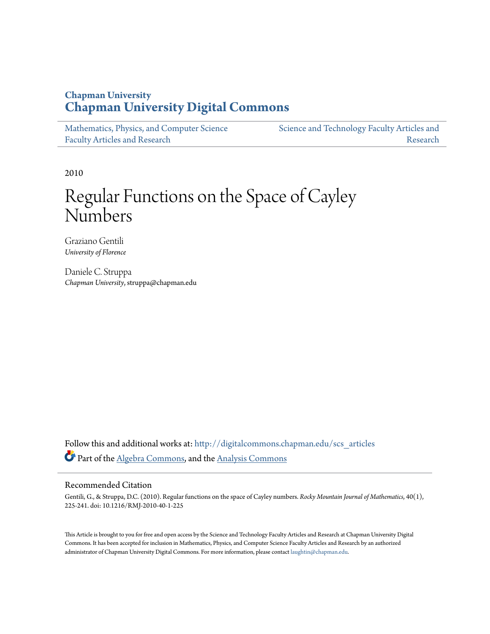### **Chapman University [Chapman University Digital Commons](http://digitalcommons.chapman.edu?utm_source=digitalcommons.chapman.edu%2Fscs_articles%2F15&utm_medium=PDF&utm_campaign=PDFCoverPages)**

| Mathematics, Physics, and Computer Science | Science and Technology Faculty Articles and |
|--------------------------------------------|---------------------------------------------|
| <b>Faculty Articles and Research</b>       | Research                                    |

2010

# Regular Functions on the Space of Cayley Numbers

Graziano Gentili *University of Florence*

Daniele C. Struppa *Chapman University*, struppa@chapman.edu

Follow this and additional works at: [http://digitalcommons.chapman.edu/scs\\_articles](http://digitalcommons.chapman.edu/scs_articles?utm_source=digitalcommons.chapman.edu%2Fscs_articles%2F15&utm_medium=PDF&utm_campaign=PDFCoverPages) Part of the [Algebra Commons,](http://network.bepress.com/hgg/discipline/175?utm_source=digitalcommons.chapman.edu%2Fscs_articles%2F15&utm_medium=PDF&utm_campaign=PDFCoverPages) and the [Analysis Commons](http://network.bepress.com/hgg/discipline/177?utm_source=digitalcommons.chapman.edu%2Fscs_articles%2F15&utm_medium=PDF&utm_campaign=PDFCoverPages)

#### Recommended Citation

Gentili, G., & Struppa, D.C. (2010). Regular functions on the space of Cayley numbers. *Rocky Mountain Journal of Mathematics*, 40(1), 225-241. doi: 10.1216/RMJ-2010-40-1-225

This Article is brought to you for free and open access by the Science and Technology Faculty Articles and Research at Chapman University Digital Commons. It has been accepted for inclusion in Mathematics, Physics, and Computer Science Faculty Articles and Research by an authorized administrator of Chapman University Digital Commons. For more information, please contact [laughtin@chapman.edu.](mailto:laughtin@chapman.edu)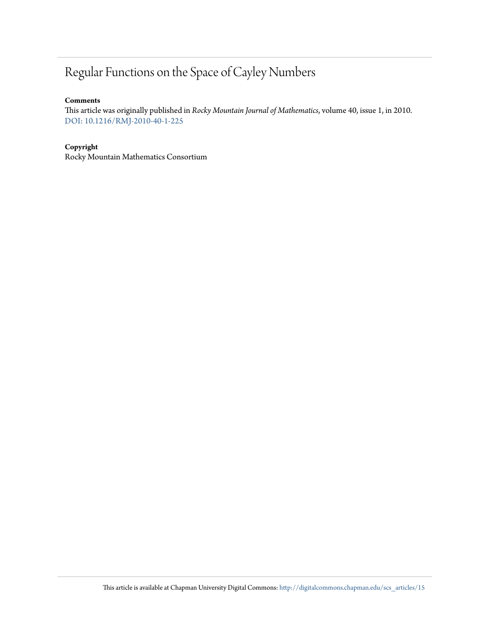## Regular Functions on the Space of Cayley Numbers

#### **Comments**

This article was originally published in *Rocky Mountain Journal of Mathematics*, volume 40, issue 1, in 2010. [DOI: 10.1216/RMJ-2010-40-1-225](http://dx.doi.org/10.1216/RMJ-2010-40-1-225)

#### **Copyright**

Rocky Mountain Mathematics Consortium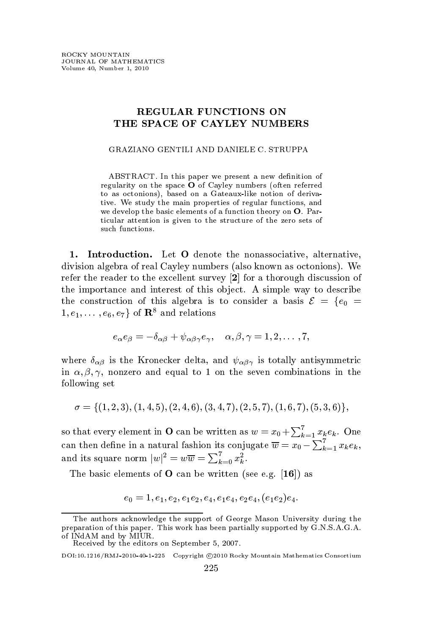#### **REGULAR FUNCTIONS ON** THE SPACE OF CAYLEY NUMBERS

GRAZIANO GENTILI AND DANIELE C. STRUPPA

ABSTRACT. In this paper we present a new definition of regularity on the space O of Cayley numbers (often referred to as octonions), based on a Gateaux-like notion of derivative. We study the main properties of regular functions, and we develop the basic elements of a function theory on O. Particular attention is given to the structure of the zero sets of such functions.

1. Introduction. Let O denote the nonassociative, alternative, division algebra of real Cayley numbers (also known as octonions). We refer the reader to the excellent survey  $[2]$  for a thorough discussion of the importance and interest of this object. A simple way to describe the construction of this algebra is to consider a basis  $\mathcal{E} = \{e_0 =$  $1, e_1, \ldots, e_6, e_7$  of  $\mathbb{R}^8$  and relations

$$
e_{\alpha}e_{\beta}=-\delta_{\alpha\beta}+\psi_{\alpha\beta\gamma}e_{\gamma}, \quad \alpha, \beta, \gamma=1,2,\ldots,7,
$$

where  $\delta_{\alpha\beta}$  is the Kronecker delta, and  $\psi_{\alpha\beta\gamma}$  is totally antisymmetric in  $\alpha, \beta, \gamma$ , nonzero and equal to 1 on the seven combinations in the following set

 $\sigma = \{(1, 2, 3), (1, 4, 5), (2, 4, 6), (3, 4, 7), (2, 5, 7), (1, 6, 7), (5, 3, 6)\},\$ 

so that every element in **O** can be written as  $w = x_0 + \sum_{k=1}^{7} x_k^k e_k$ . One can then define in a natural fashion its conjugate  $\overline{w} = x_0 - \sum_{k=1}^{7} x_k e_k$ , and its square norm  $|w|^2 = w\overline{w} = \sum_{k=0}^7 x_k^2$ .

The basic elements of  $O$  can be written (see e.g. [16]) as

$$
e_0=1,e_1,e_2,e_1e_2,e_4,e_1e_4,e_2e_4,(e_1e_2)e_4.
$$

The authors acknowledge the support of George Mason University during the preparation of this paper. This work has been partially supported by G.N.S.A.G.A. of INdAM and by MIUR.

Received by the editors on September 5, 2007.

DOI:10.1216/RMJ-2010-40-1-225 Copyright ©2010 Rocky Mountain Mathematics Consortium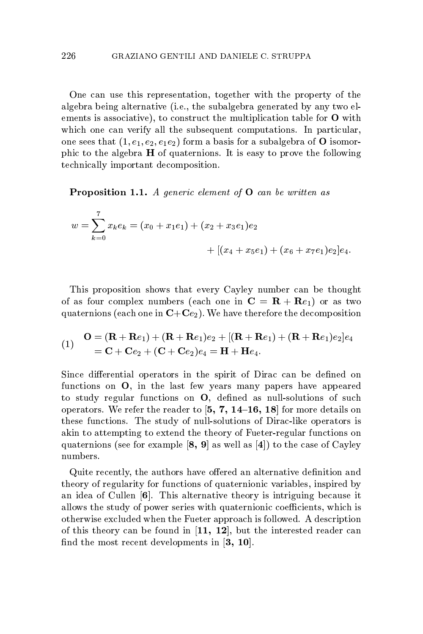One can use this representation, together with the property of the algebra being alternative (i.e., the subalgebra generated by any two elements is associative), to construct the multiplication table for  $O$  with which one can verify all the subsequent computations. In particular, one sees that  $(1, e_1, e_2, e_1e_2)$  form a basis for a subalgebra of **O** isomorphic to the algebra  $H$  of quaternions. It is easy to prove the following technically important decomposition.

**Proposition 1.1.** A generic element of  $\mathbf{O}$  can be written as

$$
w = \sum_{k=0}^{7} x_k e_k = (x_0 + x_1 e_1) + (x_2 + x_3 e_1)e_2
$$
  
+ 
$$
[(x_4 + x_5 e_1) + (x_6 + x_7 e_1)e_2]e_4.
$$

This proposition shows that every Cayley number can be thought of as four complex numbers (each one in  $C = \mathbf{R} + \mathbf{R}e_1$ ) or as two quaternions (each one in  $C+C_{e_2}$ ). We have therefore the decomposition

(1) 
$$
\mathbf{O} = (\mathbf{R} + \mathbf{R}e_1) + (\mathbf{R} + \mathbf{R}e_1)e_2 + [(\mathbf{R} + \mathbf{R}e_1) + (\mathbf{R} + \mathbf{R}e_1)e_2]e_4
$$
  
=  $\mathbf{C} + \mathbf{C}e_2 + (\mathbf{C} + \mathbf{C}e_2)e_4 = \mathbf{H} + \mathbf{H}e_4.$ 

Since differential operators in the spirit of Dirac can be defined on functions on O, in the last few years many papers have appeared to study regular functions on  $O$ , defined as null-solutions of such operators. We refer the reader to  $[5, 7, 14-16, 18]$  for more details on these functions. The study of null-solutions of Dirac-like operators is akin to attempting to extend the theory of Fueter-regular functions on quaternions (see for example  $[8, 9]$  as well as  $[4]$ ) to the case of Cayley numbers.

Quite recently, the authors have offered an alternative definition and theory of regularity for functions of quaternionic variables, inspired by an idea of Cullen  $[6]$ . This alternative theory is intriguing because it allows the study of power series with quaternionic coefficients, which is otherwise excluded when the Fueter approach is followed. A description of this theory can be found in  $[11, 12]$ , but the interested reader can find the most recent developments in  $[3, 10]$ .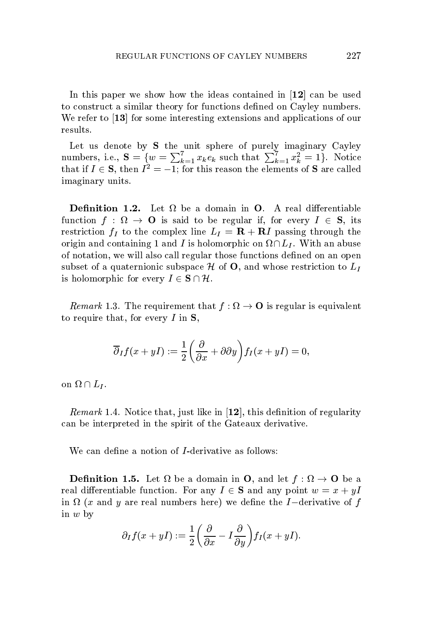In this paper we show how the ideas contained in  $12$  can be used to construct a similar theory for functions defined on Cayley numbers. We refer to  $\left[ 13\right]$  for some interesting extensions and applications of our results.

Let us denote by S the unit sphere of purely imaginary Cayley numbers, i.e.,  $\mathbf{S} = \{w = \sum_{k=1}^{7} x_k e_k \text{ such that } \sum_{k=1}^{7} x_k^2 = 1\}.$  Notice<br>that if  $I \in \mathbf{S}$ , then  $I^2 = -1$ ; for this reason the elements of **S** are called imaginary units.

**Definition 1.2.** Let  $\Omega$  be a domain in **O**. A real differentiable function  $f : \Omega \to \mathbf{O}$  is said to be regular if, for every  $I \in \mathbf{S}$ , its restriction  $f_I$  to the complex line  $L_I = \mathbf{R} + \mathbf{R}I$  passing through the origin and containing 1 and I is holomorphic on  $\Omega \cap L_I$ . With an abuse of notation, we will also call regular those functions defined on an open subset of a quaternionic subspace  $\mathcal H$  of **O**, and whose restriction to  $L_I$ is holomorphic for every  $I \in \mathbf{S} \cap \mathcal{H}$ .

*Remark* 1.3. The requirement that  $f : \Omega \to \mathbf{O}$  is regular is equivalent to require that, for every  $I$  in  $S$ ,

$$
\overline{\partial}_I f(x+yI) := \frac{1}{2} \left( \frac{\partial}{\partial x} + \partial \partial y \right) f_I(x+yI) = 0,
$$

on  $\Omega \cap L_I$ .

 $Remark 1.4.$  Notice that, just like in  $\vert {\bf 12} \vert,$  this definition of regularity can be interpreted in the spirit of the Gateaux derivative.

We can define a notion of *I*-derivative as follows:

**Definition 1.5.** Let  $\Omega$  be a domain in **O**, and let  $f : \Omega \to \mathbf{O}$  be a real differentiable function. For any  $I \in \mathbf{S}$  and any point  $w = x + yI$ in  $\Omega$  (x and y are real numbers here) we define the I-derivative of f in  $w$  by

$$
\partial_I f(x+yI) := \frac{1}{2} \left( \frac{\partial}{\partial x} - I \frac{\partial}{\partial y} \right) f_I(x+yI).
$$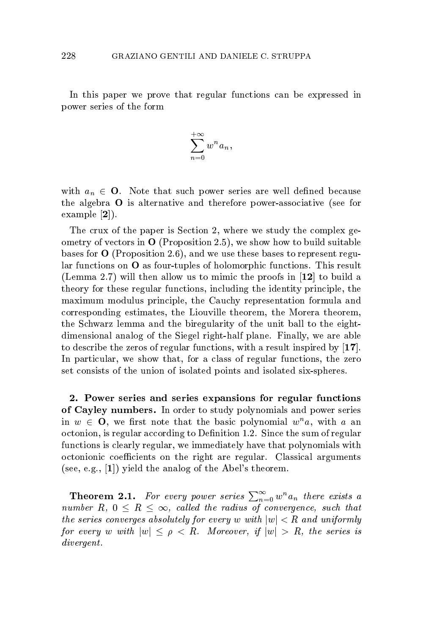In this paper we prove that regular functions can be expressed in power series of the form

$$
\sum_{n=0}^{+\infty} w^n a_n,
$$

with  $a_n \in \mathbf{O}$ . Note that such power series are well defined because the algebra  $\bf{O}$  is alternative and therefore power-associative (see for example  $|2|$ ).

The crux of the paper is Section 2, where we study the complex geometry of vectors in  $\mathbf{O}$  (Proposition 2.5), we show how to build suitable bases for  $O$  (Proposition 2.6), and we use these bases to represent regular functions on  $O$  as four-tuples of holomorphic functions. This result (Lemma 2.7) will then allow us to mimic the proofs in  $[12]$  to build a theory for these regular functions, including the identity principle, the maximum modulus principle, the Cauchy representation formula and corresponding estimates, the Liouville theorem, the Morera theorem, the Schwarz lemma and the biregularity of the unit ball to the eightdimensional analog of the Siegel right-half plane. Finally, we are able to describe the zeros of regular functions, with a result inspired by  $[17]$ . In particular, we show that, for a class of regular functions, the zero set consists of the union of isolated points and isolated six-spheres.

2. Power series and series expansions for regular functions of Cayley numbers. In order to study polynomials and power series in  $w \in \mathbf{O}$ , we first note that the basic polynomial  $w^n a$ , with a an octonion, is regular according to Definition 1.2. Since the sum of regular functions is clearly regular, we immediately have that polynomials with octonionic coefficients on the right are regular. Classical arguments (see, e.g.,  $[1]$ ) yield the analog of the Abel's theorem.

**Theorem 2.1.** For every power series  $\sum_{n=0}^{\infty} w^n a_n$  there exists a number R,  $0 \leq R \leq \infty$ , called the radius of convergence, such that the series converges absolutely for every w with  $|w| < R$  and uniformly for every w with  $|w| \le \rho < R$ . Moreover, if  $|w| > R$ , the series is  $divergent.$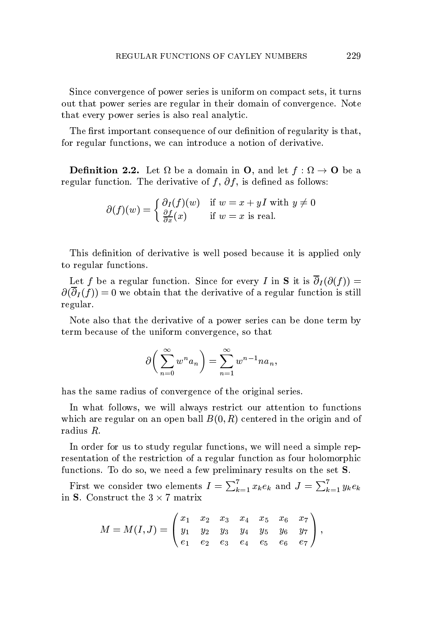Since convergence of power series is uniform on compact sets, it turns out that power series are regular in their domain of convergence. Note that every power series is also real analytic.

The first important consequence of our definition of regularity is that, for regular functions, we can introduce a notion of derivative.

**Definition 2.2.** Let  $\Omega$  be a domain in **O**, and let  $f : \Omega \to \mathbf{O}$  be a regular function. The derivative of f,  $\partial f$ , is defined as follows:

$$
\partial(f)(w) = \begin{cases} \frac{\partial I(f)(w)}{\partial x}(x) & \text{if } w = x + yI \text{ with } y \neq 0\\ \frac{\partial I}{\partial x}(x) & \text{if } w = x \text{ is real.} \end{cases}
$$

This definition of derivative is well posed because it is applied only to regular functions.

Let f be a regular function. Since for every I in S it is  $\overline{\partial}_I(\partial(f))$  =  $\partial(\overline{\partial}_{I}(f))=0$  we obtain that the derivative of a regular function is still regular.

Note also that the derivative of a power series can be done term by term because of the uniform convergence, so that

$$
\partial \bigg(\sum_{n=0}^{\infty} w^n a_n\bigg) = \sum_{n=1}^{\infty} w^{n-1} n a_n,
$$

has the same radius of convergence of the original series.

In what follows, we will always restrict our attention to functions which are regular on an open ball  $B(0, R)$  centered in the origin and of radius  $R$ .

In order for us to study regular functions, we will need a simple representation of the restriction of a regular function as four holomorphic functions. To do so, we need a few preliminary results on the set S.

First we consider two elements  $I = \sum_{k=1}^{7} x_k e_k$  and  $J = \sum_{k=1}^{7} y_k e_k$ in S. Construct the  $3 \times 7$  matrix

$$
M=M(I,J)=\begin{pmatrix}x_1&x_2&x_3&x_4&x_5&x_6&x_7\\ y_1&y_2&y_3&y_4&y_5&y_6&y_7\\ e_1&e_2&e_3&e_4&e_5&e_6&e_7\end{pmatrix},
$$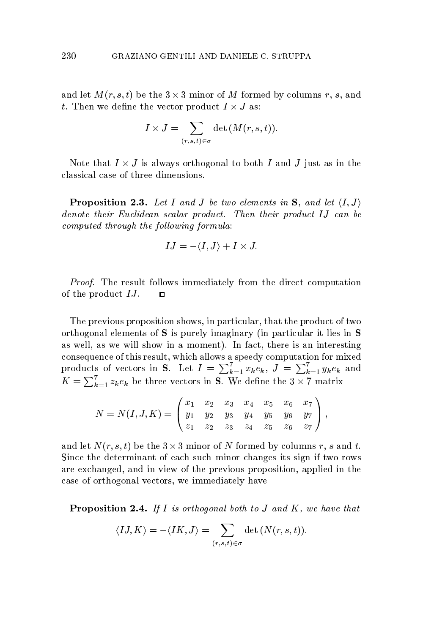and let  $M(r, s, t)$  be the  $3 \times 3$  minor of M formed by columns r, s, and t. Then we define the vector product  $I \times J$  as:

$$
I \times J = \sum_{(r,s,t) \in \sigma} \det \left( M(r,s,t) \right).
$$

Note that  $I \times J$  is always orthogonal to both I and J just as in the classical case of three dimensions.

**Proposition 2.3.** Let I and J be two elements in S, and let  $\langle I, J \rangle$ denote their Euclidean scalar product. Then their product IJ can be computed through the following formula:

$$
IJ=-\langle I,J\rangle+I\times J.
$$

*Proof.* The result follows immediately from the direct computation of the product  $IJ$ .  $\Box$ 

The previous proposition shows, in particular, that the product of two orthogonal elements of  $S$  is purely imaginary (in particular it lies in  $S$ as well, as we will show in a moment). In fact, there is an interesting consequence of this result, which allows a speedy computation for mixed products of vectors in S. Let  $I = \sum_{k=1}^{7} x_k e_k$ ,  $J = \sum_{k=1}^{7} y_k e_k$  and  $K = \sum_{k=1}^{7} z_k e_k$  be three vectors in **S**. We define the 3  $\times$  7 matrix

$$
N=N(I,J,K)=\left(\begin{matrix}x_1&x_2&x_3&x_4&x_5&x_6&x_7\\ y_1&y_2&y_3&y_4&y_5&y_6&y_7\\ z_1&z_2&z_3&z_4&z_5&z_6&z_7\end{matrix}\right),
$$

and let  $N(r, s, t)$  be the  $3 \times 3$  minor of N formed by columns r, s and t. Since the determinant of each such minor changes its sign if two rows are exchanged, and in view of the previous proposition, applied in the case of orthogonal vectors, we immediately have

**Proposition 2.4.** If I is orthogonal both to J and K, we have that

$$
\langle I J, K \rangle = -\langle I K, J \rangle = \sum_{(r,s,t) \in \sigma} \det (N(r,s,t)).
$$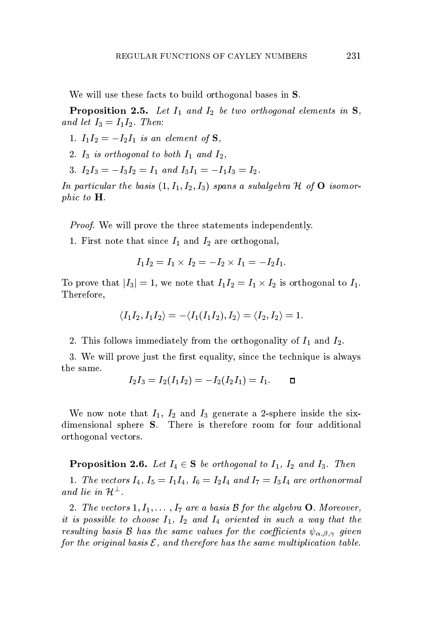We will use these facts to build orthogonal bases in  $S$ .

**Proposition 2.5.** Let  $I_1$  and  $I_2$  be two orthogonal elements in  $S$ , and let  $I_3 = I_1 I_2$ . Then:

1.  $I_1I_2=-I_2I_1$  is an element of  $S$ ,

- 2.  $I_3$  is orthogonal to both  $I_1$  and  $I_2$ ,
- 3.  $I_2I_3 = -I_3I_2 = I_1$  and  $I_3I_1 = -I_1I_3 = I_2$ .

In particular the basis  $(1, I_1, I_2, I_3)$  spans a subalgebra H of  $O$  isomorphic to  $H$ .

*Proof.* We will prove the three statements independently.

1. First note that since  $I_1$  and  $I_2$  are orthogonal,

$$
I_1 I_2 = I_1 \times I_2 = -I_2 \times I_1 = -I_2 I_1.
$$

To prove that  $|I_3|=1$ , we note that  $I_1I_2=I_1\times I_2$  is orthogonal to  $I_1$ . Therefore,

$$
\langle I_1I_2,I_1I_2\rangle=-\langle I_1(I_1I_2),I_2\rangle=\langle I_2,I_2\rangle=1.
$$

2. This follows immediately from the orthogonality of  $I_1$  and  $I_2$ .

3. We will prove just the first equality, since the technique is always the same.

$$
I_2I_3=I_2(I_1I_2)=-I_2(I_2I_1)=I_1.\hspace{5ex} \blacksquare
$$

We now note that  $I_1$ ,  $I_2$  and  $I_3$  generate a 2-sphere inside the sixdimensional sphere S. There is therefore room for four additional orthogonal vectors.

**Proposition 2.6.** Let  $I_4 \in \mathbf{S}$  be orthogonal to  $I_1$ ,  $I_2$  and  $I_3$ . Then

1. The vectors  $I_4$ ,  $I_5 = I_1 I_4$ ,  $I_6 = I_2 I_4$  and  $I_7 = I_3 I_4$  are orthonormal and lie in  $\mathcal{H}^{\perp}$ .

2. The vectors  $1, I_1, \ldots, I_7$  are a basis  $\beta$  for the algebra **O**. Moreover, it is possible to choose  $I_1$ ,  $I_2$  and  $I_4$  oriented in such a way that the resulting basis B has the same values for the coefficients  $\psi_{\alpha,\beta,\gamma}$  given for the original basis  $\mathcal E$ , and therefore has the same multiplication table.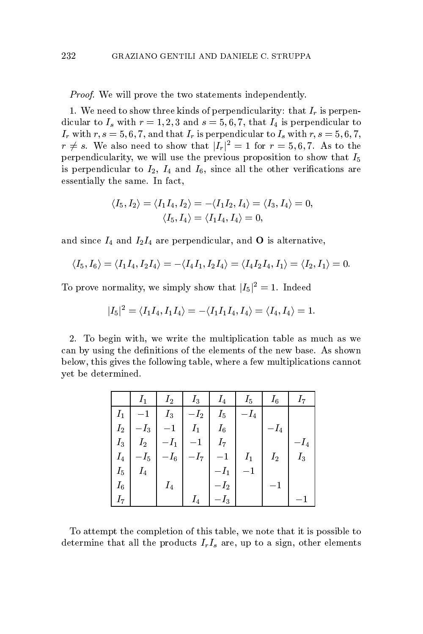*Proof.* We will prove the two statements independently.

1. We need to show three kinds of perpendicularity: that  $I_r$  is perpendicular to  $I_s$  with  $r = 1, 2, 3$  and  $s = 5, 6, 7$ , that  $I_4$  is perpendicular to  $I_r$  with  $r, s = 5, 6, 7$ , and that  $I_r$  is perpendicular to  $I_s$  with  $r, s = 5, 6, 7$ ,  $r \neq s$ . We also need to show that  $|I_r|^2 = 1$  for  $r = 5, 6, 7$ . As to the perpendicularity, we will use the previous proposition to show that  $I_5$ is perpendicular to  $I_2$ ,  $I_4$  and  $I_6$ , since all the other verifications are essentially the same. In fact,

$$
\langle I_5, I_2 \rangle = \langle I_1 I_4, I_2 \rangle = -\langle I_1 I_2, I_4 \rangle = \langle I_3, I_4 \rangle = 0,
$$
  

$$
\langle I_5, I_4 \rangle = \langle I_1 I_4, I_4 \rangle = 0,
$$

and since  $I_4$  and  $I_2I_4$  are perpendicular, and **O** is alternative,

$$
\langle I_5,I_6 \rangle = \langle I_1I_4,I_2I_4 \rangle = -\langle I_4I_1,I_2I_4 \rangle = \langle I_4I_2I_4,I_1 \rangle = \langle I_2,I_1 \rangle = 0
$$

To prove normality, we simply show that  $|I_5|^2 = 1$ . Indeed

$$
|I_5|^2=\langle I_1I_4,I_1I_4\rangle=-\langle I_1I_1I_4,I_4\rangle=\langle I_4,I_4\rangle=1.
$$

2. To begin with, we write the multiplication table as much as we can by using the definitions of the elements of the new base. As shown below, this gives the following table, where a few multiplications cannot yet be determined.

|          | $I_1$       | $I_2$  | $I_3$    | $I_4$       | $I_5$  | $I_6$  | $I_7$   |
|----------|-------------|--------|----------|-------------|--------|--------|---------|
| $I_1$    | $^{\rm -1}$ | $I_3$  | $-I_{2}$ | $I_5$       | $-I_4$ |        |         |
| $I_{2-}$ | $-I_3$      |        | $I_1$    | $I_{6}$     |        | $-I_4$ |         |
| $I_3$    | $I_2$       | $-I_1$ | $-1$     | $I_7$       |        |        | $-l_4$  |
| $I_4$    | $-I_5$      | $-I_6$ | $-I_7$   | $^{\rm -1}$ | $I_1$  | $I_2$  | $I_{3}$ |
| $I_5$    | $I_4$       |        |          | $-I_1$      |        |        |         |
| $I_6$    |             | $I_4$  |          | $-l_2$      |        |        |         |
| $I_7$    |             |        | $I_4$    | $-I_3$      |        |        |         |

To attempt the completion of this table, we note that it is possible to determine that all the products  $I_rI_s$  are, up to a sign, other elements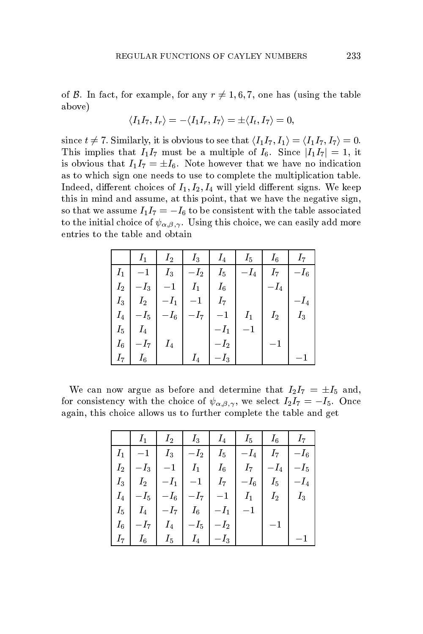of B. In fact, for example, for any  $r \neq 1, 6, 7$ , one has (using the table above)

$$
\langle I_1I_7,I_r\rangle=-\langle I_1I_r,I_7\rangle=\pm\langle I_t,I_7\rangle=0,
$$

since  $t \neq 7$ . Similarly, it is obvious to see that  $\langle I_1I_7, I_1 \rangle = \langle I_1I_7, I_7 \rangle = 0$ . This implies that  $I_1I_7$  must be a multiple of  $I_6$ . Since  $|I_1I_7|=1$ , it is obvious that  $I_1I_7 = \pm I_6$ . Note however that we have no indication as to which sign one needs to use to complete the multiplication table. Indeed, different choices of  $I_1, I_2, I_4$  will yield different signs. We keep this in mind and assume, at this point, that we have the negative sign, so that we assume  $I_1I_7=-I_6$  to be consistent with the table associated to the initial choice of  $\psi_{\alpha,\beta,\gamma}$ . Using this choice, we can easily add more entries to the table and obtain

|         | $I_1$               | $I_2$                  | $I_3$          | $I_4$  | $I_5$  | $I_6$  | $I_7$  |
|---------|---------------------|------------------------|----------------|--------|--------|--------|--------|
| $I_1$   | $-1$                | $I_3$                  | $-I_2$         | $I_5$  | $-I_4$ | $I_7$  | $-I_6$ |
| $I_2$   | $-\boldsymbol{I}_3$ |                        | I <sub>1</sub> | $I_6$  |        | $-I_4$ |        |
| $I_3$   | $I_2$               | $-I_1$ $^{\rm \prime}$ |                | $I_7$  |        |        | $-I_4$ |
|         | $I_4$   $-I_5$      | $- I_6^{-1}$           | $ -I_7 $       | $-1$   | $I_1$  | $I_2$  | $I_3$  |
| $I_5$   | $I_4$               |                        |                |        |        |        |        |
| $I_{6}$ | $-I_7$              | $I_4$                  |                | $-I_2$ |        |        |        |
| 17.     | $I_6$               |                        | $I_4$          | $-I_3$ |        |        |        |

We can now argue as before and determine that  $I_2I_7 = \pm I_5$  and, for consistency with the choice of  $\psi_{\alpha,\beta,\gamma}$ , we select  $I_2I_7 = -I_5$ . Once again, this choice allows us to further complete the table and get

|       | $I_1$                 | $l_2$                   | $I_3$                   | $I_4$    | $I_5$  | $I_6$  | 17                |
|-------|-----------------------|-------------------------|-------------------------|----------|--------|--------|-------------------|
| $I_1$ |                       | $I_3$                   | $-I_2$                  | $I_5$    | $-I_4$ |        | $ I_7 $ $  -I_6 $ |
| $I_2$ | $-\boldsymbol{I}_3$ ' |                         | $I_1$                   | $I_6$    | $I_7$  | $-I_4$ | $-I_5$            |
| $I_3$ | $I_2$                 | $ -I_1 $                | $\vert -1 \vert$        | $I_7$    | $-I_6$ | $I_5$  | $-I_4$            |
| $I_4$ | $-I_5\,$ '            | $-I_{\rm 6}$ $^{\circ}$ | $-I_7$                  |          | $I_1$  | $I_2$  | $I_3$             |
| $I_5$ | $I_4$                 |                         | $ -I_7 $ $I_6$ $ -I_1 $ |          |        |        |                   |
| $I_6$ | $-I_7\,$ '            | $I_4$                   | $ -I_5 $                | $-I_2$   |        |        |                   |
| 17    | $I_6$                 | $I_5$                   | $I_4$                   | $ -I_3 $ |        |        |                   |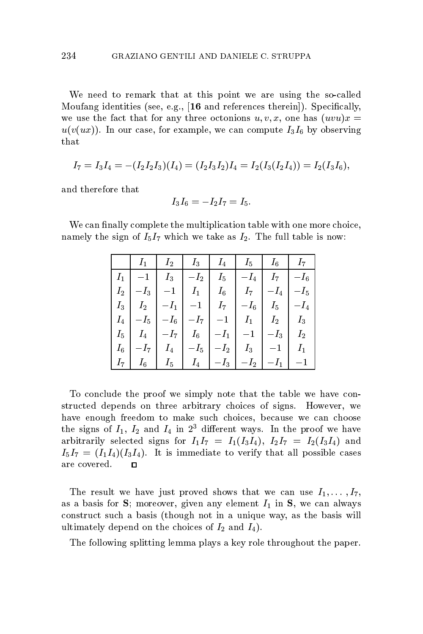We need to remark that at this point we are using the so-called Moufang identities (see, e.g., [16 and references therein]). Specifically, we use the fact that for any three octonions  $u, v, x$ , one has  $(uvu)x =$  $u(v(ux))$ . In our case, for example, we can compute  $I_3I_6$  by observing that

$$
I_7=I_3I_4=-(I_2I_2I_3)(I_4)=(I_2I_3I_2)I_4=I_2(I_3(I_2I_4))=I_2(I_3I_6),\\
$$

and therefore that

$$
I_3I_6=-I_2I_7=I_5.
$$

We can finally complete the multiplication table with one more choice, namely the sign of  $I_5I_7$  which we take as  $I_2$ . The full table is now:

|       |  | $I_1$   $I_2$   $I_3$   $I_4$   $I_5$   $I_6$   $I_7$                                                                                                  |  |               |  |
|-------|--|--------------------------------------------------------------------------------------------------------------------------------------------------------|--|---------------|--|
|       |  | $\left I_{1}\right $ $-1$ $\left I_{3}\right $ $-I_{2}\right $ $I_{5}\right $ $-I_{4}\right $ $I_{7}\right $ $-I_{6}\right $                           |  |               |  |
| $I_2$ |  | $\begin{array}{ c c c c c c c c c } \hline \rule{0mm}{1.2mm} & -I_3 & -1 & I_1 & I_6 & I_7 & -I_4 & -I_5 \ \hline \end{array}$                         |  |               |  |
| $I_3$ |  | $\left[\begin{array}{c c} I_2 & -I_1 & -1 \end{array}\right]\begin{array}{c c} I_7 & -I_6 & I_5 \end{array}\right]\begin{array}{c c} -I_4 \end{array}$ |  |               |  |
|       |  | $I_4$   $-I_5$   $-I_6$   $-I_7$   $-1$   $I_1$   $I_2$   $I_3$                                                                                        |  |               |  |
|       |  | $I_5$ $I_4$ $-I_7$ $I_6$ $-I_1$ $-I_1$ $-I_3$ $I_2$                                                                                                    |  |               |  |
| $I_6$ |  | $\begin{array}{ c c c c c c c c } \hline \rule{0mm}{1.2mm} & I_4 & -I_5 & -I_2 & I_3 & -1 \ \hline \end{array}$                                        |  |               |  |
|       |  |                                                                                                                                                        |  | $-I_1$   $-1$ |  |

To conclude the proof we simply note that the table we have constructed depends on three arbitrary choices of signs. However, we have enough freedom to make such choices, because we can choose the signs of  $I_1$ ,  $I_2$  and  $I_4$  in  $2^3$  different ways. In the proof we have arbitrarily selected signs for  $I_1I_7 = I_1(I_3I_4), I_2I_7 = I_2(I_3I_4)$  and  $I_5I_7 = (I_1I_4)(I_3I_4)$ . It is immediate to verify that all possible cases are covered.  $\Box$ 

The result we have just proved shows that we can use  $I_1, \ldots, I_7$ , as a basis for S; moreover, given any element  $I_1$  in S, we can always construct such a basis (though not in a unique way, as the basis will ultimately depend on the choices of  $I_2$  and  $I_4$ ).

The following splitting lemma plays a key role throughout the paper.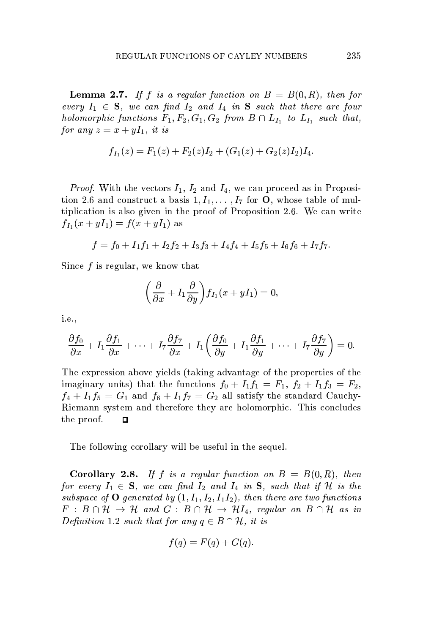**Lemma 2.7.** If f is a regular function on  $B = B(0, R)$ , then for every  $I_1 \in S$ , we can find  $I_2$  and  $I_4$  in S such that there are four holomorphic functions  $F_1, F_2, G_1, G_2$  from  $B \cap L_{I_1}$  to  $L_{I_1}$  such that, for any  $z = x + yI_1$ , it is

$$
f_{I_1}(z) = F_1(z) + F_2(z)I_2 + (G_1(z) + G_2(z)I_2)I_4.
$$

*Proof.* With the vectors  $I_1$ ,  $I_2$  and  $I_4$ , we can proceed as in Proposition 2.6 and construct a basis  $1, I_1, \ldots, I_7$  for **O**, whose table of multiplication is also given in the proof of Proposition 2.6. We can write  $f_{I_1}(x+yI_1)=f(x+yI_1)$  as

$$
f=f_0+I_1f_1+I_2f_2+I_3f_3+I_4f_4+I_5f_5+I_6f_6+I_7f_7.
$$

Since  $f$  is regular, we know that

$$
\left(\frac{\partial}{\partial x} + I_1 \frac{\partial}{\partial y}\right) f_{I_1}(x + yI_1) = 0
$$

*i.e.*,

$$
\frac{\partial f_0}{\partial x} + I_1 \frac{\partial f_1}{\partial x} + \cdots + I_7 \frac{\partial f_7}{\partial x} + I_1 \left( \frac{\partial f_0}{\partial y} + I_1 \frac{\partial f_1}{\partial y} + \cdots + I_7 \frac{\partial f_7}{\partial y} \right) = 0.
$$

The expression above yields (taking advantage of the properties of the imaginary units) that the functions  $f_0 + I_1 f_1 = F_1$ ,  $f_2 + I_1 f_3 = F_2$ ,  $f_4 + I_1 f_5 = G_1$  and  $f_6 + I_1 f_7 = G_2$  all satisfy the standard Cauchy-Riemann system and therefore they are holomorphic. This concludes the proof.  $\Box$ 

The following corollary will be useful in the sequel.

**Corollary 2.8.** If f is a regular function on  $B = B(0,R)$ , then for every  $I_1 \in \mathbf{S}$ , we can find  $I_2$  and  $I_4$  in  $\mathbf{S}$ , such that if H is the subspace of  $O$  generated by  $(1, I_1, I_2, I_1 I_2)$ , then there are two functions  $F : B \cap \mathcal{H} \to \mathcal{H}$  and  $G : B \cap \mathcal{H} \to \mathcal{H}I_4$ , regular on  $B \cap \mathcal{H}$  as in Definition 1.2 such that for any  $q \in B \cap \mathcal{H}$ , it is

$$
f(q) = F(q) + G(q).
$$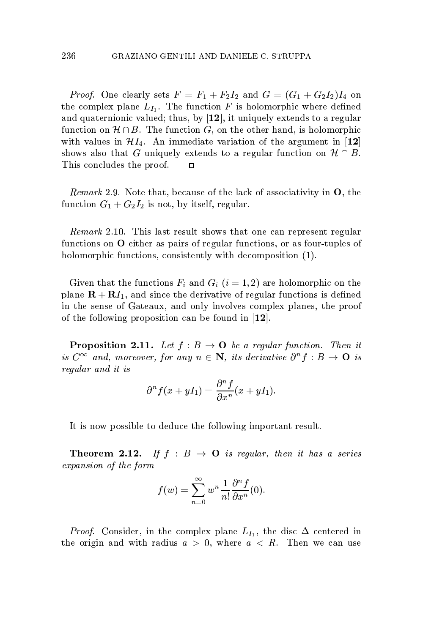*Proof.* One clearly sets  $F = F_1 + F_2I_2$  and  $G = (G_1 + G_2I_2)I_4$  on the complex plane  $L_{I_1}$ . The function F is holomorphic where defined and quaternionic valued; thus, by  $[12]$ , it uniquely extends to a regular function on  $\mathcal{H} \cap B$ . The function G, on the other hand, is holomorphic with values in  $\mathcal{H}I_4$ . An immediate variation of the argument in [12] shows also that G uniquely extends to a regular function on  $\mathcal{H} \cap B$ . This concludes the proof.  $\Box$ 

 $\emph{Remark 2.9}.$  Note that, because of the lack of associativity in  $\mathbf{O},$  the function  $G_1 + G_2 I_2$  is not, by itself, regular.

Remark 2.10. This last result shows that one can represent regular functions on O either as pairs of regular functions, or as four-tuples of holomorphic functions, consistently with decomposition (1).

Given that the functions  $F_i$  and  $G_i$   $(i = 1, 2)$  are holomorphic on the plane  $\mathbf{R} + \mathbf{R}I_1$ , and since the derivative of regular functions is defined in the sense of Gateaux, and only involves complex planes, the proof of the following proposition can be found in  $[12]$ .

**Proposition 2.11.** Let  $f : B \to \mathbf{O}$  be a regular function. Then it is  $C^{\infty}$  and, moreover, for any  $n \in \mathbb{N}$ , its derivative  $\partial^{n} f : B \to \mathbb{O}$  is regular and it is

$$
\partial^n f(x+yI_1)=\frac{\partial^n f}{\partial x^n}(x+yI_1).
$$

It is now possible to deduce the following important result.

**Theorem 2.12.** If  $f : B \rightarrow \mathbf{O}$  is regular, then it has a series expansion of the form

$$
f(w) = \sum_{n=0}^{\infty} w^n \frac{1}{n!} \frac{\partial^n f}{\partial x^n}(0).
$$

*Proof.* Consider, in the complex plane  $L_I$ , the disc  $\Delta$  centered in the origin and with radius  $a > 0$ , where  $a < R$ . Then we can use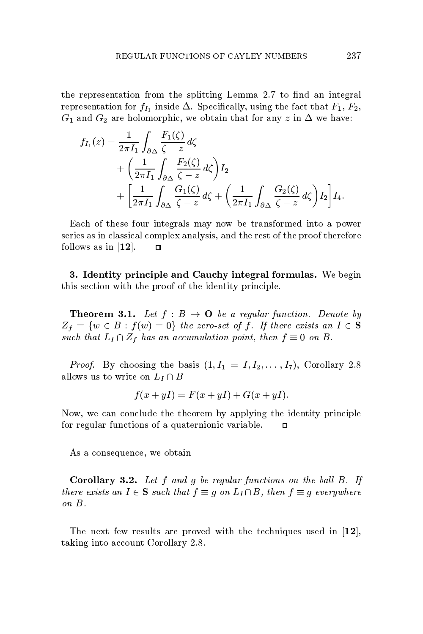the representation from the splitting Lemma 2.7 to find an integral representation for  $f_{I_1}$  inside  $\Delta$ . Specifically, using the fact that  $F_1, F_2$ ,  $G_1$  and  $G_2$  are holomorphic, we obtain that for any z in  $\Delta$  we have:

$$
f_{I_1}(z) = \frac{1}{2\pi I_1} \int_{\partial \Delta} \frac{F_1(\zeta)}{\zeta - z} d\zeta
$$
  
+  $\left(\frac{1}{2\pi I_1} \int_{\partial \Delta} \frac{F_2(\zeta)}{\zeta - z} d\zeta\right) I_2$   
+  $\left[\frac{1}{2\pi I_1} \int_{\partial \Delta} \frac{G_1(\zeta)}{\zeta - z} d\zeta + \left(\frac{1}{2\pi I_1} \int_{\partial \Delta} \frac{G_2(\zeta)}{\zeta - z} d\zeta\right) I_2\right] I_4.$ 

Each of these four integrals may now be transformed into a power series as in classical complex analysis, and the rest of the proof therefore follows as in  $[12]$ .  $\Box$ 

3. Identity principle and Cauchy integral formulas. We begin this section with the proof of the identity principle.

**Theorem 3.1.** Let  $f : B \to \mathbf{O}$  be a regular function. Denote by  $Z_f = \{w \in B : f(w) = 0\}$  the zero-set of f. If there exists an  $I \in S$ such that  $L_I \cap Z_f$  has an accumulation point, then  $f \equiv 0$  on B.

*Proof.* By choosing the basis  $(1, I_1 = I, I_2, \ldots, I_7)$ , Corollary 2.8 allows us to write on  $L_I \cap B$ 

$$
f(x + yI) = F(x + yI) + G(x + yI).
$$

Now, we can conclude the theorem by applying the identity principle for regular functions of a quaternionic variable.  $\Box$ 

As a consequence, we obtain

**Corollary 3.2.** Let  $f$  and  $g$  be regular functions on the ball  $B$ . If there exists an  $I \in \mathbf{S}$  such that  $f \equiv g$  on  $L_I \cap B$ , then  $f \equiv g$  everywhere on B.

The next few results are proved with the techniques used in  $[12]$ , taking into account Corollary 2.8.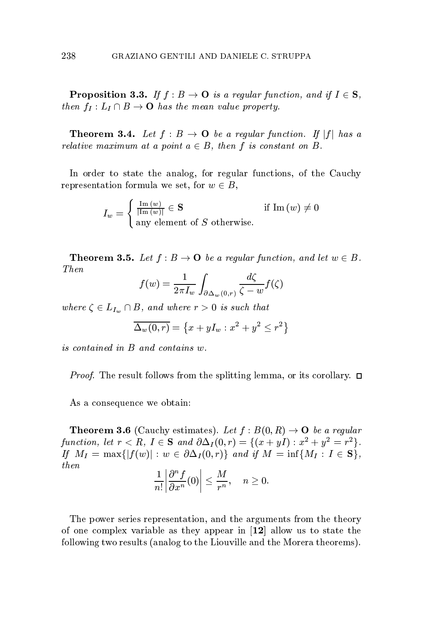**Proposition 3.3.** If  $f : B \to \mathbf{O}$  is a regular function, and if  $I \in \mathbf{S}$ , then  $f_I: L_I \cap B \to \mathbf{O}$  has the mean value property.

**Theorem 3.4.** Let  $f : B \to \mathbf{O}$  be a regular function. If  $|f|$  has a relative maximum at a point  $a \in B$ , then f is constant on B.

In order to state the analog, for regular functions, of the Cauchy representation formula we set, for  $w \in B$ ,

$$
I_w = \begin{cases} \frac{\text{Im}(w)}{|\text{Im}(w)|} \in \mathbf{S} & \text{if } \text{Im}(w) \neq 0\\ \text{any element of } S \text{ otherwise.} \end{cases}
$$

**Theorem 3.5.** Let  $f : B \to \mathbf{O}$  be a regular function, and let  $w \in B$ . Then

$$
f(w) = \frac{1}{2\pi I_w} \int_{\partial \Delta_w(0,r)} \frac{d\zeta}{\zeta - w} f(\zeta)
$$

where  $\zeta \in L_{I_m} \cap B$ , and where  $r > 0$  is such that

$$
\overline{\Delta_w(0,r)} = \left\{ x + yI_w : x^2 + y^2 \le r^2 \right\}
$$

is contained in B and contains w.

*Proof.* The result follows from the splitting lemma, or its corollary.  $\Box$ 

As a consequence we obtain:

**Theorem 3.6** (Cauchy estimates). Let  $f : B(0, R) \to \mathbf{O}$  be a regular function, let  $r < R$ ,  $I \in S$  and  $\partial \Delta_I(0,r) = \{(x+yI) : x^2 + y^2 = r^2\}.$ If  $M_I = \max\{|f(w)| : w \in \partial \Delta_I(0,r)\}\$  and if  $M = \inf\{M_I : I \in \mathbf{S}\},\$  $then$ 

$$
\frac{1}{n!} \left| \frac{\partial^n f}{\partial x^n}(0) \right| \le \frac{M}{r^n}, \quad n \ge 0.
$$

The power series representation, and the arguments from the theory of one complex variable as they appear in  $[12]$  allow us to state the following two results (analog to the Liouville and the Morera theorems).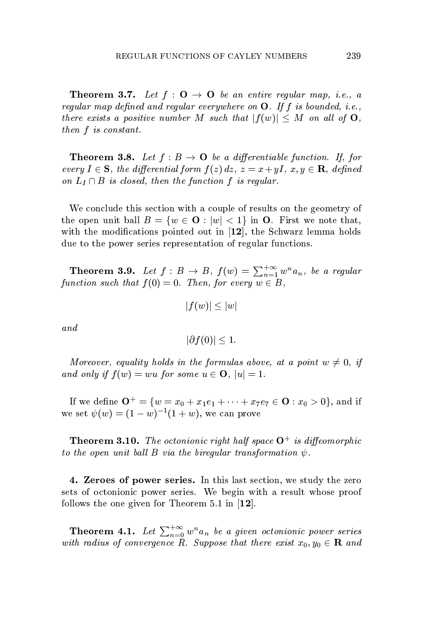**Theorem 3.7.** Let  $f : \mathbf{O} \to \mathbf{O}$  be an entire regular map, i.e., a regular map defined and regular everywhere on  $\mathbf{O}$ . If f is bounded, i.e., there exists a positive number M such that  $|f(w)| \leq M$  on all of  $O$ , then f is constant.

**Theorem 3.8.** Let  $f : B \to \mathbf{O}$  be a differentiable function. If, for every  $I \in \mathbf{S}$ , the differential form  $f(z) dz$ ,  $z = x + yI$ ,  $x, y \in \mathbf{R}$ , defined on  $L_I \cap B$  is closed, then the function f is regular.

We conclude this section with a couple of results on the geometry of the open unit ball  $B = \{w \in \mathbf{O} : |w| < 1\}$  in **O**. First we note that, with the modifications pointed out in  $[12]$ , the Schwarz lemma holds due to the power series representation of regular functions.

**Theorem 3.9.** Let  $f : B \to B$ ,  $f(w) = \sum_{n=1}^{+\infty} w^n a_n$ , be a regular function such that  $f(0) = 0$ . Then, for every  $w \in B$ ,

$$
|f(w)| \leq |w|
$$

and

$$
|\partial f(0)| \leq 1.
$$

Moreover, equality holds in the formulas above, at a point  $w \neq 0$ , if and only if  $f(w) = wu$  for some  $u \in \mathbf{O}$ ,  $|u| = 1$ .

If we define  $\mathbf{O}^+ = \{w = x_0 + x_1e_1 + \cdots + x_7e_7 \in \mathbf{O} : x_0 > 0\}$ , and if we set  $\psi(w) = (1 - w)^{-1}(1 + w)$ , we can prove

**Theorem 3.10.** The octonionic right half space  $O^+$  is diffeomorphic to the open unit ball B via the bireqular transformation  $\psi$ .

4. Zeroes of power series. In this last section, we study the zero sets of octonionic power series. We begin with a result whose proof follows the one given for Theorem 5.1 in  $[12]$ .

**Theorem 4.1.** Let  $\sum_{n=0}^{+\infty} w^n a_n$  be a given octonionic power series with radius of convergence R. Suppose that there exist  $x_0, y_0 \in \mathbf{R}$  and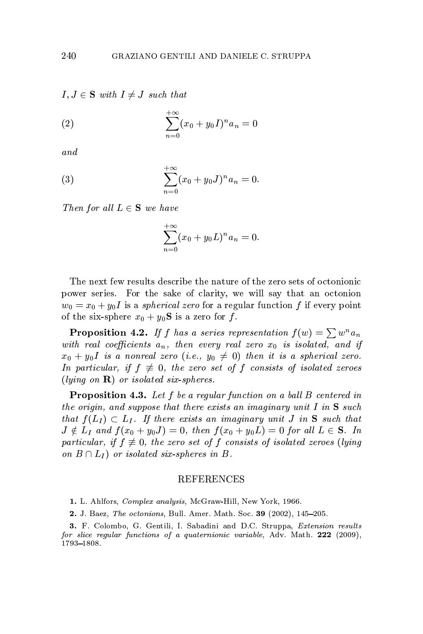$I, J \in \mathbf{S}$  with  $I \neq J$  such that

(2) 
$$
\sum_{n=0}^{+\infty} (x_0 + y_0 I)^n a_n = 0
$$

and

(3) 
$$
\sum_{n=0}^{+\infty} (x_0 + y_0 J)^n a_n = 0.
$$

Then for all  $L \in \mathbf{S}$  we have

$$
\sum_{n=0}^{+\infty} (x_0 + y_0 L)^n a_n = 0.
$$

The next few results describe the nature of the zero sets of octonionic power series. For the sake of clarity, we will say that an octonion  $w_0 = x_0 + y_0 I$  is a *spherical zero* for a regular function f if every point of the six-sphere  $x_0 + y_0$ **S** is a zero for f.

**Proposition 4.2.** If f has a series representation  $f(w) = \sum w^n a_n$ with real coefficients  $a_n$ , then every real zero  $x_0$  is isolated, and if  $x_0 + y_0 I$  is a nonreal zero (i.e.,  $y_0 \neq 0$ ) then it is a spherical zero. In particular, if  $f \neq 0$ , the zero set of f consists of isolated zeroes  $(lying \text{ on } \mathbf{R})$  or isolated six-spheres.

**Proposition 4.3.** Let  $f$  be a regular function on a ball  $B$  centered in the origin, and suppose that there exists an imaginary unit I in  $S$  such that  $f(L_I) \subset L_I$ . If there exists an imaginary unit J in S such that  $J \notin L_I$  and  $f(x_0 + y_0 J) = 0$ , then  $f(x_0 + y_0 L) = 0$  for all  $L \in \mathbf{S}$ . In particular, if  $f \neq 0$ , the zero set of f consists of isolated zeroes (lying on  $B \cap L_I$ ) or isolated six-spheres in B.

#### **REFERENCES**

1. L. Ahlfors, Complex analysis, McGraw-Hill, New York, 1966.

2. J. Baez, The octonions, Bull. Amer. Math. Soc. 39 (2002), 145-205.

3. F. Colombo, G. Gentili, I. Sabadini and D.C. Struppa, *Extension results* for slice regular functions of a quaternionic variable, Adv. Math.  $222$  (2009), 1793-1808.

240